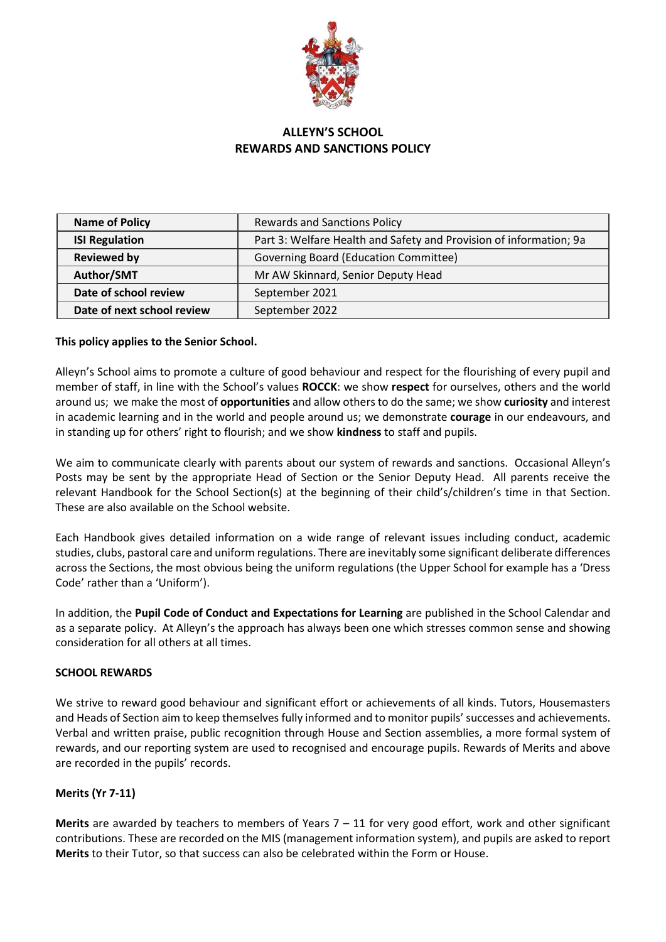

# **ALLEYN'S SCHOOL REWARDS AND SANCTIONS POLICY**

| <b>Name of Policy</b>      | <b>Rewards and Sanctions Policy</b>                                |  |  |
|----------------------------|--------------------------------------------------------------------|--|--|
| <b>ISI Regulation</b>      | Part 3: Welfare Health and Safety and Provision of information; 9a |  |  |
| <b>Reviewed by</b>         | Governing Board (Education Committee)                              |  |  |
| Author/SMT                 | Mr AW Skinnard, Senior Deputy Head                                 |  |  |
| Date of school review      | September 2021                                                     |  |  |
| Date of next school review | September 2022                                                     |  |  |

# **This policy applies to the Senior School.**

Alleyn's School aims to promote a culture of good behaviour and respect for the flourishing of every pupil and member of staff, in line with the School's values **ROCCK**: we show **respect** for ourselves, others and the world around us; we make the most of **opportunities** and allow others to do the same; we show **curiosity** and interest in academic learning and in the world and people around us; we demonstrate **courage** in our endeavours, and in standing up for others' right to flourish; and we show **kindness** to staff and pupils.

We aim to communicate clearly with parents about our system of rewards and sanctions. Occasional Alleyn's Posts may be sent by the appropriate Head of Section or the Senior Deputy Head. All parents receive the relevant Handbook for the School Section(s) at the beginning of their child's/children's time in that Section. These are also available on the School website.

Each Handbook gives detailed information on a wide range of relevant issues including conduct, academic studies, clubs, pastoral care and uniform regulations. There are inevitably some significant deliberate differences across the Sections, the most obvious being the uniform regulations (the Upper School for example has a 'Dress Code' rather than a 'Uniform').

In addition, the **Pupil Code of Conduct and Expectations for Learning** are published in the School Calendar and as a separate policy. At Alleyn's the approach has always been one which stresses common sense and showing consideration for all others at all times.

#### **SCHOOL REWARDS**

We strive to reward good behaviour and significant effort or achievements of all kinds. Tutors, Housemasters and Heads of Section aim to keep themselves fully informed and to monitor pupils' successes and achievements. Verbal and written praise, public recognition through House and Section assemblies, a more formal system of rewards, and our reporting system are used to recognised and encourage pupils. Rewards of Merits and above are recorded in the pupils' records.

# **Merits (Yr 7-11)**

**Merits** are awarded by teachers to members of Years 7 – 11 for very good effort, work and other significant contributions. These are recorded on the MIS (management information system), and pupils are asked to report **Merits** to their Tutor, so that success can also be celebrated within the Form or House.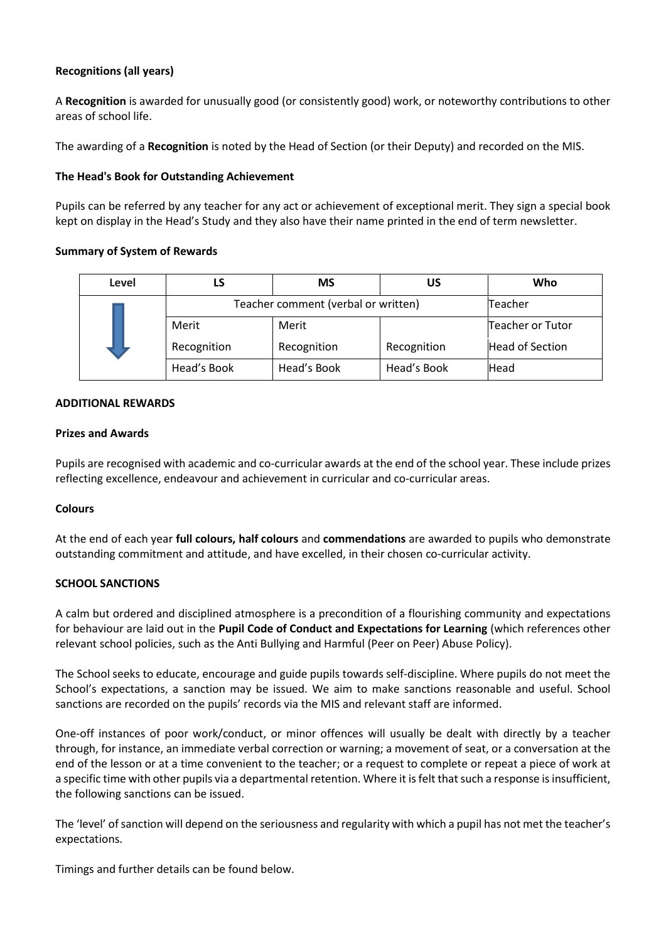# **Recognitions (all years)**

A **Recognition** is awarded for unusually good (or consistently good) work, or noteworthy contributions to other areas of school life.

The awarding of a **Recognition** is noted by the Head of Section (or their Deputy) and recorded on the MIS.

### **The Head's Book for Outstanding Achievement**

Pupils can be referred by any teacher for any act or achievement of exceptional merit. They sign a special book kept on display in the Head's Study and they also have their name printed in the end of term newsletter.

### **Summary of System of Rewards**

| Level |                                     | <b>MS</b>   | บร          | Who              |
|-------|-------------------------------------|-------------|-------------|------------------|
|       | Teacher comment (verbal or written) | Teacher     |             |                  |
|       | Merit                               | Merit       |             | Teacher or Tutor |
|       | Recognition                         | Recognition | Recognition | Head of Section  |
|       | Head's Book                         | Head's Book | Head's Book | Head             |

#### **ADDITIONAL REWARDS**

#### **Prizes and Awards**

Pupils are recognised with academic and co-curricular awards at the end of the school year. These include prizes reflecting excellence, endeavour and achievement in curricular and co-curricular areas.

# **Colours**

At the end of each year **full colours, half colours** and **commendations** are awarded to pupils who demonstrate outstanding commitment and attitude, and have excelled, in their chosen co-curricular activity.

# **SCHOOL SANCTIONS**

A calm but ordered and disciplined atmosphere is a precondition of a flourishing community and expectations for behaviour are laid out in the **Pupil Code of Conduct and Expectations for Learning** (which references other relevant school policies, such as the Anti Bullying and Harmful (Peer on Peer) Abuse Policy).

The School seeks to educate, encourage and guide pupils towards self-discipline. Where pupils do not meet the School's expectations, a sanction may be issued. We aim to make sanctions reasonable and useful. School sanctions are recorded on the pupils' records via the MIS and relevant staff are informed.

One-off instances of poor work/conduct, or minor offences will usually be dealt with directly by a teacher through, for instance, an immediate verbal correction or warning; a movement of seat, or a conversation at the end of the lesson or at a time convenient to the teacher; or a request to complete or repeat a piece of work at a specific time with other pupils via a departmental retention. Where it is felt that such a response is insufficient, the following sanctions can be issued.

The 'level' of sanction will depend on the seriousness and regularity with which a pupil has not met the teacher's expectations.

Timings and further details can be found below.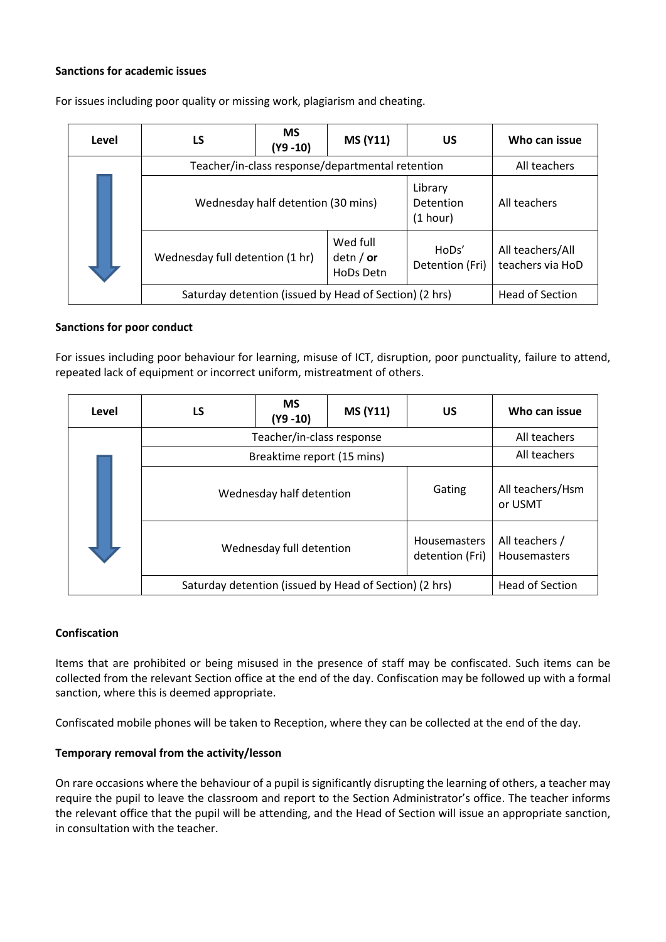### **Sanctions for academic issues**

| Level | LS                                                     | <b>MS</b><br>(Y9 -10) | <b>MS (Y11)</b>                      | US                               | Who can issue                        |
|-------|--------------------------------------------------------|-----------------------|--------------------------------------|----------------------------------|--------------------------------------|
|       | Teacher/in-class response/departmental retention       |                       |                                      |                                  | All teachers                         |
|       | Wednesday half detention (30 mins)                     |                       |                                      | Library<br>Detention<br>(1 hour) | All teachers                         |
|       | Wednesday full detention (1 hr)                        |                       | Wed full<br>detn $/$ or<br>HoDs Detn | HoDs'<br>Detention (Fri)         | All teachers/All<br>teachers via HoD |
|       | Saturday detention (issued by Head of Section) (2 hrs) |                       |                                      |                                  | <b>Head of Section</b>               |

For issues including poor quality or missing work, plagiarism and cheating.

#### **Sanctions for poor conduct**

For issues including poor behaviour for learning, misuse of ICT, disruption, poor punctuality, failure to attend, repeated lack of equipment or incorrect uniform, mistreatment of others.

| Level | LS                                                     | <b>MS</b><br>$(Y9 - 10)$ | <b>MS (Y11)</b> | US                                     | Who can issue                  |
|-------|--------------------------------------------------------|--------------------------|-----------------|----------------------------------------|--------------------------------|
|       | Teacher/in-class response                              |                          |                 |                                        | All teachers                   |
|       | Breaktime report (15 mins)                             |                          |                 |                                        | All teachers                   |
|       | Wednesday half detention                               |                          |                 | Gating                                 | All teachers/Hsm<br>or USMT    |
|       | Wednesday full detention                               |                          |                 | <b>Housemasters</b><br>detention (Fri) | All teachers /<br>Housemasters |
|       | Saturday detention (issued by Head of Section) (2 hrs) |                          |                 |                                        | <b>Head of Section</b>         |

#### **Confiscation**

Items that are prohibited or being misused in the presence of staff may be confiscated. Such items can be collected from the relevant Section office at the end of the day. Confiscation may be followed up with a formal sanction, where this is deemed appropriate.

Confiscated mobile phones will be taken to Reception, where they can be collected at the end of the day.

#### **Temporary removal from the activity/lesson**

On rare occasions where the behaviour of a pupil is significantly disrupting the learning of others, a teacher may require the pupil to leave the classroom and report to the Section Administrator's office. The teacher informs the relevant office that the pupil will be attending, and the Head of Section will issue an appropriate sanction, in consultation with the teacher.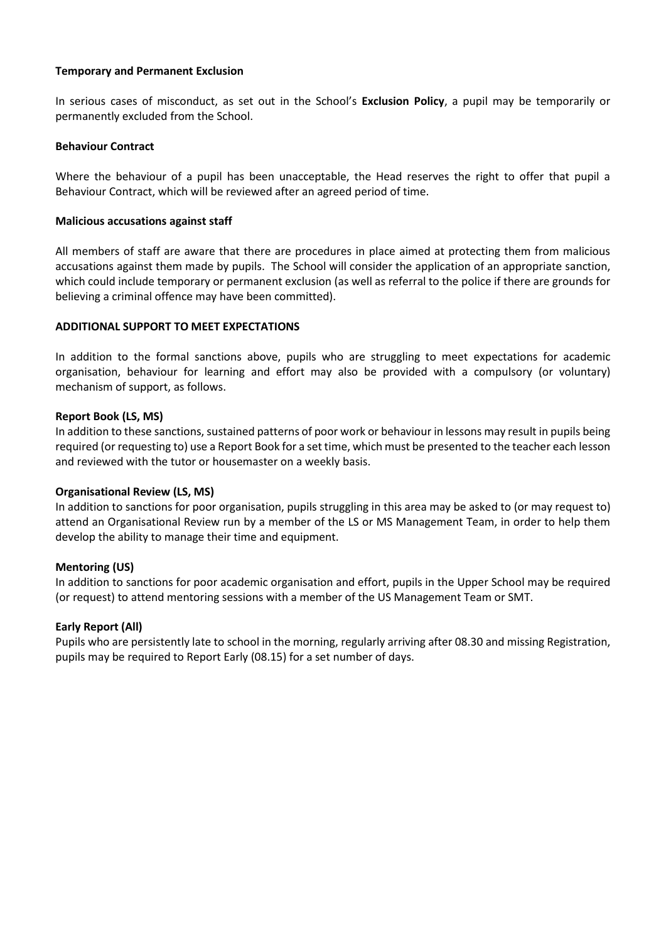### **Temporary and Permanent Exclusion**

In serious cases of misconduct, as set out in the School's **Exclusion Policy**, a pupil may be temporarily or permanently excluded from the School.

#### **Behaviour Contract**

Where the behaviour of a pupil has been unacceptable, the Head reserves the right to offer that pupil a Behaviour Contract, which will be reviewed after an agreed period of time.

#### **Malicious accusations against staff**

All members of staff are aware that there are procedures in place aimed at protecting them from malicious accusations against them made by pupils. The School will consider the application of an appropriate sanction, which could include temporary or permanent exclusion (as well as referral to the police if there are grounds for believing a criminal offence may have been committed).

#### **ADDITIONAL SUPPORT TO MEET EXPECTATIONS**

In addition to the formal sanctions above, pupils who are struggling to meet expectations for academic organisation, behaviour for learning and effort may also be provided with a compulsory (or voluntary) mechanism of support, as follows.

#### **Report Book (LS, MS)**

In addition to these sanctions, sustained patterns of poor work or behaviour in lessons may result in pupils being required (or requesting to) use a Report Book for a set time, which must be presented to the teacher each lesson and reviewed with the tutor or housemaster on a weekly basis.

#### **Organisational Review (LS, MS)**

In addition to sanctions for poor organisation, pupils struggling in this area may be asked to (or may request to) attend an Organisational Review run by a member of the LS or MS Management Team, in order to help them develop the ability to manage their time and equipment.

#### **Mentoring (US)**

In addition to sanctions for poor academic organisation and effort, pupils in the Upper School may be required (or request) to attend mentoring sessions with a member of the US Management Team or SMT.

#### **Early Report (All)**

Pupils who are persistently late to school in the morning, regularly arriving after 08.30 and missing Registration, pupils may be required to Report Early (08.15) for a set number of days.